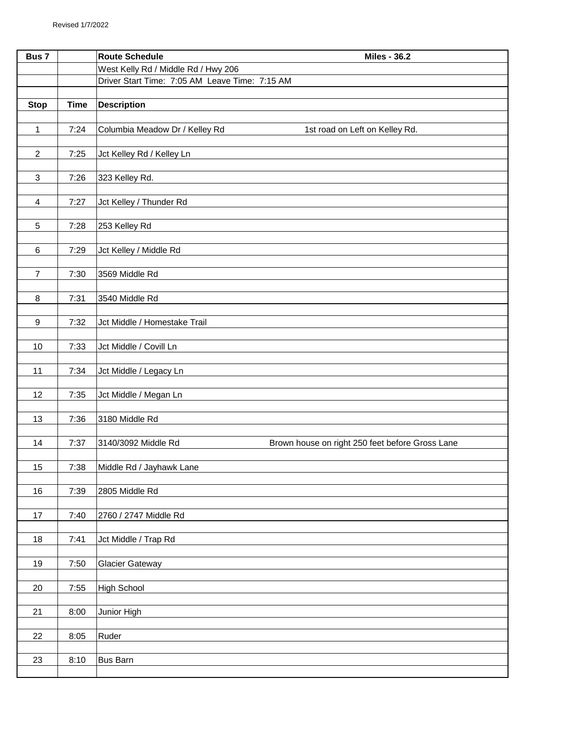| Bus 7                   |             | <b>Route Schedule</b><br><b>Miles - 36.2</b>                           |
|-------------------------|-------------|------------------------------------------------------------------------|
|                         |             | West Kelly Rd / Middle Rd / Hwy 206                                    |
|                         |             | Driver Start Time: 7:05 AM Leave Time: 7:15 AM                         |
|                         |             |                                                                        |
| <b>Stop</b>             | <b>Time</b> | <b>Description</b>                                                     |
| $\mathbf{1}$            | 7:24        | Columbia Meadow Dr / Kelley Rd<br>1st road on Left on Kelley Rd.       |
|                         |             |                                                                        |
| $\overline{c}$          | 7:25        | Jct Kelley Rd / Kelley Ln                                              |
| $\mathbf{3}$            | 7:26        | 323 Kelley Rd.                                                         |
|                         |             |                                                                        |
| $\overline{\mathbf{4}}$ | 7:27        | Jct Kelley / Thunder Rd                                                |
|                         |             |                                                                        |
| 5                       | 7:28        | 253 Kelley Rd                                                          |
| $\,6\,$                 | 7:29        | Jct Kelley / Middle Rd                                                 |
|                         |             |                                                                        |
| $\overline{7}$          | 7:30        | 3569 Middle Rd                                                         |
|                         |             |                                                                        |
| $\, 8$                  | 7:31        | 3540 Middle Rd                                                         |
| $\boldsymbol{9}$        | 7:32        | Jct Middle / Homestake Trail                                           |
|                         |             |                                                                        |
| 10                      | 7:33        | Jct Middle / Covill Ln                                                 |
|                         |             |                                                                        |
| 11                      | 7:34        | Jct Middle / Legacy Ln                                                 |
| 12                      | 7:35        | Jct Middle / Megan Ln                                                  |
|                         |             |                                                                        |
| 13                      | 7:36        | 3180 Middle Rd                                                         |
|                         |             |                                                                        |
| 14                      | 7:37        | 3140/3092 Middle Rd<br>Brown house on right 250 feet before Gross Lane |
|                         |             |                                                                        |
| 15                      | 7:38        | Middle Rd / Jayhawk Lane                                               |
| $16$                    | 7:39        | 2805 Middle Rd                                                         |
|                         |             |                                                                        |
| 17                      | 7:40        | 2760 / 2747 Middle Rd                                                  |
|                         |             |                                                                        |
| 18                      | 7:41        | Jct Middle / Trap Rd                                                   |
| 19                      | 7:50        | <b>Glacier Gateway</b>                                                 |
|                         |             |                                                                        |
| 20                      | 7:55        | <b>High School</b>                                                     |
|                         |             |                                                                        |
| 21                      | 8:00        | Junior High                                                            |
| 22                      | 8:05        | Ruder                                                                  |
|                         |             |                                                                        |
| 23                      | 8:10        | <b>Bus Barn</b>                                                        |
|                         |             |                                                                        |